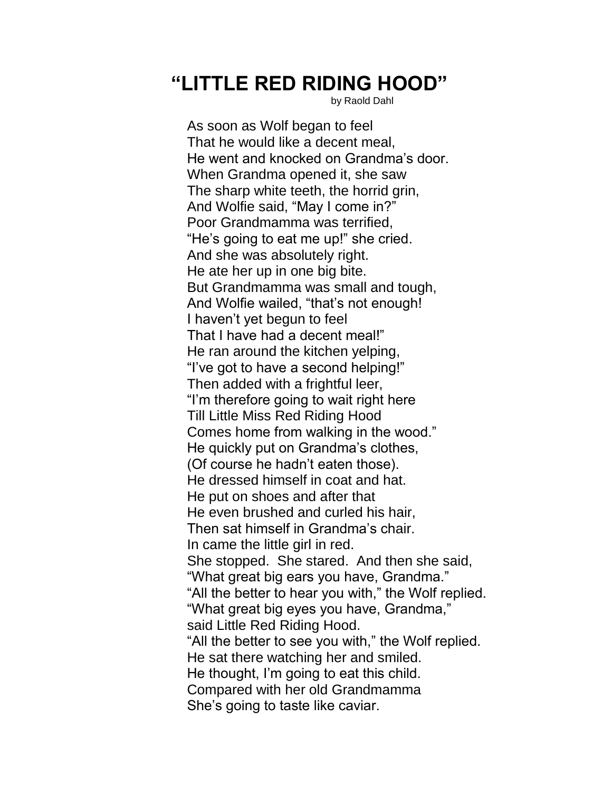## **"LITTLE RED RIDING HOOD"**

by Raold Dahl

As soon as Wolf began to feel That he would like a decent meal, He went and knocked on Grandma's door. When Grandma opened it, she saw The sharp white teeth, the horrid grin, And Wolfie said, "May I come in?" Poor Grandmamma was terrified, "He's going to eat me up!" she cried. And she was absolutely right. He ate her up in one big bite. But Grandmamma was small and tough, And Wolfie wailed, "that's not enough! I haven't yet begun to feel That I have had a decent meal!" He ran around the kitchen yelping, "I've got to have a second helping!" Then added with a frightful leer, "I'm therefore going to wait right here Till Little Miss Red Riding Hood Comes home from walking in the wood." He quickly put on Grandma's clothes, (Of course he hadn't eaten those). He dressed himself in coat and hat. He put on shoes and after that He even brushed and curled his hair, Then sat himself in Grandma's chair. In came the little girl in red. She stopped. She stared. And then she said, "What great big ears you have, Grandma." "All the better to hear you with," the Wolf replied. "What great big eyes you have, Grandma," said Little Red Riding Hood. "All the better to see you with," the Wolf replied. He sat there watching her and smiled. He thought, I'm going to eat this child. Compared with her old Grandmamma She's going to taste like caviar.